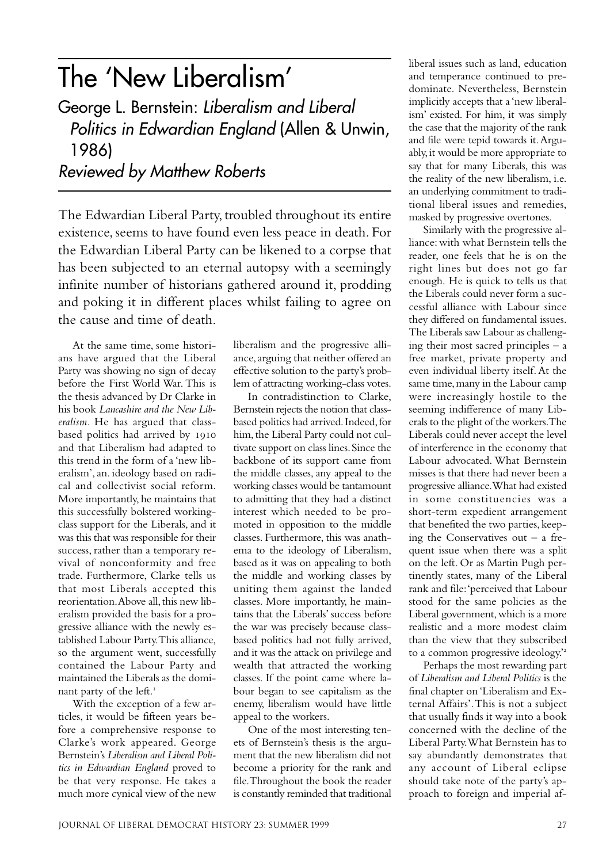# The 'New Liberalism'

George L. Bernstein: Liberalism and Liberal Politics in Edwardian England (Allen & Unwin, 1986) Reviewed by Matthew Roberts

The Edwardian Liberal Party, troubled throughout its entire existence, seems to have found even less peace in death. For the Edwardian Liberal Party can be likened to a corpse that has been subjected to an eternal autopsy with a seemingly infinite number of historians gathered around it, prodding and poking it in different places whilst failing to agree on the cause and time of death.

At the same time, some historians have argued that the Liberal Party was showing no sign of decay before the First World War. This is the thesis advanced by Dr Clarke in his book *Lancashire and the New Liberalism.* He has argued that classbased politics had arrived by and that Liberalism had adapted to this trend in the form of a 'new liberalism', an. ideology based on radical and collectivist social reform. More importantly, he maintains that this successfully bolstered workingclass support for the Liberals, and it was this that was responsible for their success, rather than a temporary revival of nonconformity and free trade. Furthermore, Clarke tells us that most Liberals accepted this reorientation. Above all, this new liberalism provided the basis for a progressive alliance with the newly established Labour Party. This alliance, so the argument went, successfully contained the Labour Party and maintained the Liberals as the dominant party of the left.

With the exception of a few articles, it would be fifteen years before a comprehensive response to Clarke's work appeared. George Bernstein's *Liberalism and Liberal Politics in Edwardian England* proved to be that very response. He takes a much more cynical view of the new

liberalism and the progressive alliance, arguing that neither offered an effective solution to the party's problem of attracting working-class votes.

In contradistinction to Clarke, Bernstein rejects the notion that classbased politics had arrived. Indeed, for him, the Liberal Party could not cultivate support on class lines. Since the backbone of its support came from the middle classes, any appeal to the working classes would be tantamount to admitting that they had a distinct interest which needed to be promoted in opposition to the middle classes. Furthermore, this was anathema to the ideology of Liberalism, based as it was on appealing to both the middle and working classes by uniting them against the landed classes. More importantly, he maintains that the Liberals' success before the war was precisely because classbased politics had not fully arrived, and it was the attack on privilege and wealth that attracted the working classes. If the point came where labour began to see capitalism as the enemy, liberalism would have little appeal to the workers.

One of the most interesting tenets of Bernstein's thesis is the argument that the new liberalism did not become a priority for the rank and file. Throughout the book the reader is constantly reminded that traditional

liberal issues such as land, education and temperance continued to predominate. Nevertheless, Bernstein implicitly accepts that a 'new liberalism' existed. For him, it was simply the case that the majority of the rank and file were tepid towards it. Arguably, it would be more appropriate to say that for many Liberals, this was the reality of the new liberalism, i.e. an underlying commitment to traditional liberal issues and remedies, masked by progressive overtones.

Similarly with the progressive alliance: with what Bernstein tells the reader, one feels that he is on the right lines but does not go far enough. He is quick to tells us that the Liberals could never form a successful alliance with Labour since they differed on fundamental issues. The Liberals saw Labour as challenging their most sacred principles – a free market, private property and even individual liberty itself. At the same time, many in the Labour camp were increasingly hostile to the seeming indifference of many Liberals to the plight of the workers. The Liberals could never accept the level of interference in the economy that Labour advocated. What Bernstein misses is that there had never been a progressive alliance. What had existed in some constituencies was a short-term expedient arrangement that benefited the two parties, keeping the Conservatives out  $-$  a frequent issue when there was a split on the left. Or as Martin Pugh pertinently states, many of the Liberal rank and file: 'perceived that Labour stood for the same policies as the Liberal government, which is a more realistic and a more modest claim than the view that they subscribed to a common progressive ideology.'

Perhaps the most rewarding part of *Liberalism and Liberal Politics* is the final chapter on 'Liberalism and External Affairs'. This is not a subject that usually finds it way into a book concerned with the decline of the Liberal Party. What Bernstein has to say abundantly demonstrates that any account of Liberal eclipse should take note of the party's approach to foreign and imperial af